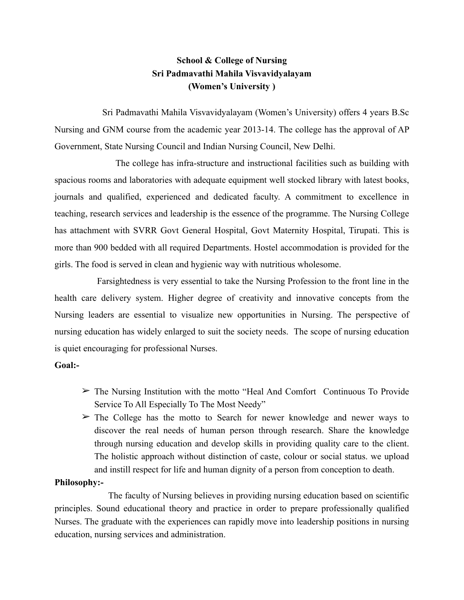# **School & College of Nursing Sri Padmavathi Mahila Visvavidyalayam (Women's University )**

 Sri Padmavathi Mahila Visvavidyalayam (Women's University) offers 4 years B.Sc Nursing and GNM course from the academic year 2013-14. The college has the approval of AP Government, State Nursing Council and Indian Nursing Council, New Delhi.

 The college has infra-structure and instructional facilities such as building with spacious rooms and laboratories with adequate equipment well stocked library with latest books, journals and qualified, experienced and dedicated faculty. A commitment to excellence in teaching, research services and leadership is the essence of the programme. The Nursing College has attachment with SVRR Govt General Hospital, Govt Maternity Hospital, Tirupati. This is more than 900 bedded with all required Departments. Hostel accommodation is provided for the girls. The food is served in clean and hygienic way with nutritious wholesome.

 Farsightedness is very essential to take the Nursing Profession to the front line in the health care delivery system. Higher degree of creativity and innovative concepts from the Nursing leaders are essential to visualize new opportunities in Nursing. The perspective of nursing education has widely enlarged to suit the society needs. The scope of nursing education is quiet encouraging for professional Nurses.

#### **Goal:-**

- $\triangleright$  The Nursing Institution with the motto "Heal And Comfort Continuous To Provide Service To All Especially To The Most Needy"
- $\geq$  The College has the motto to Search for newer knowledge and newer ways to discover the real needs of human person through research. Share the knowledge through nursing education and develop skills in providing quality care to the client. The holistic approach without distinction of caste, colour or social status. we upload and instill respect for life and human dignity of a person from conception to death.

#### **Philosophy:-**

 The faculty of Nursing believes in providing nursing education based on scientific principles. Sound educational theory and practice in order to prepare professionally qualified Nurses. The graduate with the experiences can rapidly move into leadership positions in nursing education, nursing services and administration.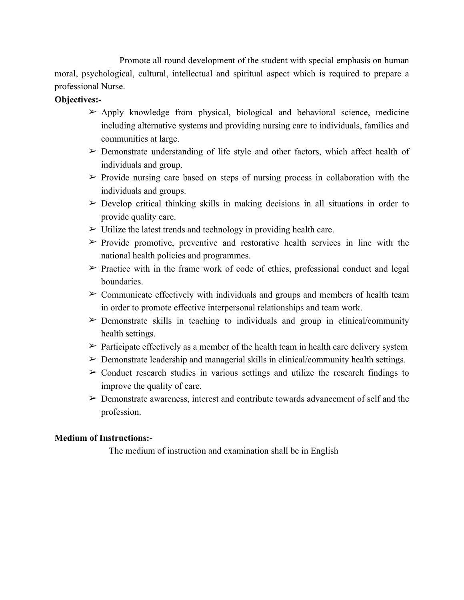Promote all round development of the student with special emphasis on human moral, psychological, cultural, intellectual and spiritual aspect which is required to prepare a professional Nurse.

# **Objectives:-**

- $\triangleright$  Apply knowledge from physical, biological and behavioral science, medicine including alternative systems and providing nursing care to individuals, families and communities at large.
- $\triangleright$  Demonstrate understanding of life style and other factors, which affect health of individuals and group.
- $\triangleright$  Provide nursing care based on steps of nursing process in collaboration with the individuals and groups.
- $\geq$  Develop critical thinking skills in making decisions in all situations in order to provide quality care.
- $\triangleright$  Utilize the latest trends and technology in providing health care.
- $\triangleright$  Provide promotive, preventive and restorative health services in line with the national health policies and programmes.
- $\triangleright$  Practice with in the frame work of code of ethics, professional conduct and legal boundaries.
- $\geq$  Communicate effectively with individuals and groups and members of health team in order to promote effective interpersonal relationships and team work.
- $\triangleright$  Demonstrate skills in teaching to individuals and group in clinical/community health settings.
- $\triangleright$  Participate effectively as a member of the health team in health care delivery system
- $\triangleright$  Demonstrate leadership and managerial skills in clinical/community health settings.
- $\geq$  Conduct research studies in various settings and utilize the research findings to improve the quality of care.
- $\triangleright$  Demonstrate awareness, interest and contribute towards advancement of self and the profession.

### **Medium of Instructions:-**

The medium of instruction and examination shall be in English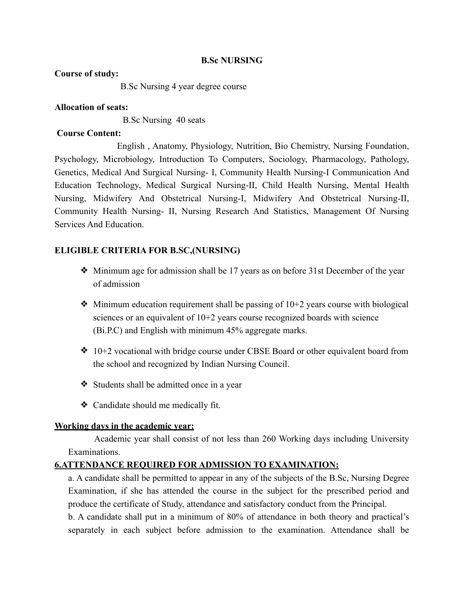### **B.Sc NURSING**

#### **Course of study:**

B.Sc Nursing 4 year degree course

### **Allocation of seats:**

B.Sc Nursing40 seats

### **Course Content:**

 English , Anatomy, Physiology, Nutrition, Bio Chemistry, Nursing Foundation, Psychology, Microbiology, Introduction To Computers, Sociology, Pharmacology, Pathology, Genetics, Medical And Surgical Nursing- I, Community Health Nursing-I Communication And Education Technology, Medical Surgical Nursing-II, Child Health Nursing, Mental Health Nursing, Midwifery And Obstetrical Nursing-I, Midwifery And Obstetrical Nursing-II, Community Health Nursing- II, Nursing Research And Statistics, Management Of Nursing Services And Education.

# **ELIGIBLE CRITERIA FOR B.SC,(NURSING)**

- ❖ Minimum age for admission shall be 17 years as on before 31st December of the year of admission
- $\bullet$  Minimum education requirement shall be passing of 10+2 years course with biological sciences or an equivalent of  $10+2$  years course recognized boards with science (Bi.P.C) and English with minimum 45% aggregate marks.
- ❖ 10+2 vocational with bridge course under CBSE Board or other equivalent board from the school and recognized by Indian Nursing Council.
- ❖ Students shall be admitted once in a year
- ❖ Candidate should me medically fit.

### **Working days in the academic year:**

 Academic year shall consist of not less than 260 Working days including University Examinations.

# **6.ATTENDANCE REQUIRED FOR ADMISSION TO EXAMINATION:**

a. A candidate shall be permitted to appear in any of the subjects of the B.Sc, Nursing Degree Examination, if she has attended the course in the subject for the prescribed period and produce the certificate of Study, attendance and satisfactory conduct from the Principal.

b. A candidate shall put in a minimum of 80% of attendance in both theory and practical's separately in each subject before admission to the examination. Attendance shall be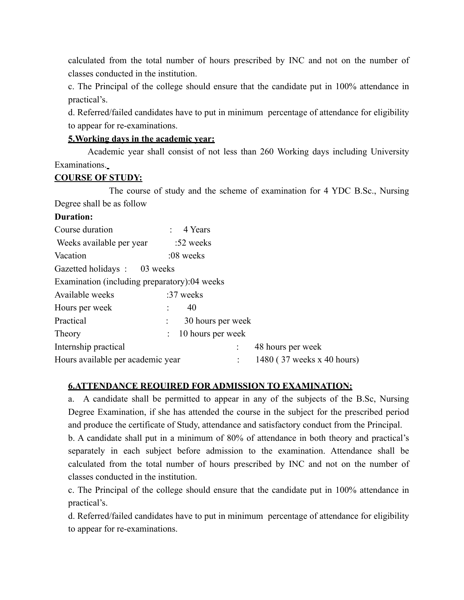calculated from the total number of hours prescribed by INC and not on the number of classes conducted in the institution.

c. The Principal of the college should ensure that the candidate put in 100% attendance in practical's.

d. Referred/failed candidates have to put in minimum percentage of attendance for eligibility to appear for re-examinations.

### **5.Working days in the academic year:**

 Academic year shall consist of not less than 260 Working days including University Examinations.

### **COURSE OF STUDY:**

 The course of study and the scheme of examination for 4 YDC B.Sc., Nursing Degree shall be as follow

### **Duration:**

| Course duration                              | $\therefore$ 4 Years                             |
|----------------------------------------------|--------------------------------------------------|
| Weeks available per year                     | $:52$ weeks                                      |
| Vacation                                     | $:08$ weeks                                      |
| Gazetted holidays: 03 weeks                  |                                                  |
| Examination (including preparatory):04 weeks |                                                  |
| Available weeks                              | :37 weeks                                        |
| Hours per week                               | 40                                               |
| Practical                                    | 30 hours per week<br>$\mathcal{L}_{\mathcal{A}}$ |
| Theory                                       | 10 hours per week                                |
| Internship practical                         | 48 hours per week                                |
| Hours available per academic year            | 1480 (37 weeks x 40 hours)                       |

### **6.ATTENDANCE REQUIRED FOR ADMISSION TO EXAMINATION:**

a. A candidate shall be permitted to appear in any of the subjects of the B.Sc, Nursing Degree Examination, if she has attended the course in the subject for the prescribed period and produce the certificate of Study, attendance and satisfactory conduct from the Principal.

b. A candidate shall put in a minimum of 80% of attendance in both theory and practical's separately in each subject before admission to the examination. Attendance shall be calculated from the total number of hours prescribed by INC and not on the number of classes conducted in the institution.

c. The Principal of the college should ensure that the candidate put in 100% attendance in practical's.

d. Referred/failed candidates have to put in minimum percentage of attendance for eligibility to appear for re-examinations.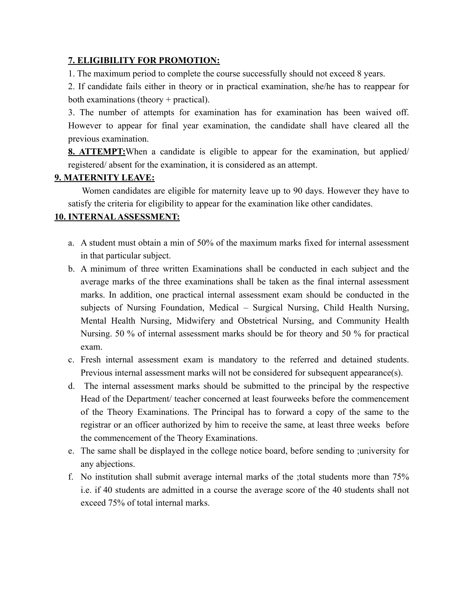### **7. ELIGIBILITY FOR PROMOTION:**

1. The maximum period to complete the course successfully should not exceed 8 years.

2. If candidate fails either in theory or in practical examination, she/he has to reappear for both examinations (theory + practical).

3. The number of attempts for examination has for examination has been waived off. However to appear for final year examination, the candidate shall have cleared all the previous examination.

**8. ATTEMPT:**When a candidate is eligible to appear for the examination, but applied/ registered/ absent for the examination, it is considered as an attempt.

# **9. MATERNITY LEAVE:**

 Women candidates are eligible for maternity leave up to 90 days. However they have to satisfy the criteria for eligibility to appear for the examination like other candidates.

# **10. INTERNAL ASSESSMENT:**

- a. A student must obtain a min of 50% of the maximum marks fixed for internal assessment in that particular subject.
- b. A minimum of three written Examinations shall be conducted in each subject and the average marks of the three examinations shall be taken as the final internal assessment marks. In addition, one practical internal assessment exam should be conducted in the subjects of Nursing Foundation, Medical – Surgical Nursing, Child Health Nursing, Mental Health Nursing, Midwifery and Obstetrical Nursing, and Community Health Nursing. 50 % of internal assessment marks should be for theory and 50 % for practical exam.
- c. Fresh internal assessment exam is mandatory to the referred and detained students. Previous internal assessment marks will not be considered for subsequent appearance(s).
- d. The internal assessment marks should be submitted to the principal by the respective Head of the Department/ teacher concerned at least fourweeks before the commencement of the Theory Examinations. The Principal has to forward a copy of the same to the registrar or an officer authorized by him to receive the same, at least three weeks before the commencement of the Theory Examinations.
- e. The same shall be displayed in the college notice board, before sending to ;university for any abjections.
- f. No institution shall submit average internal marks of the ;total students more than 75% i.e. if 40 students are admitted in a course the average score of the 40 students shall not exceed 75% of total internal marks.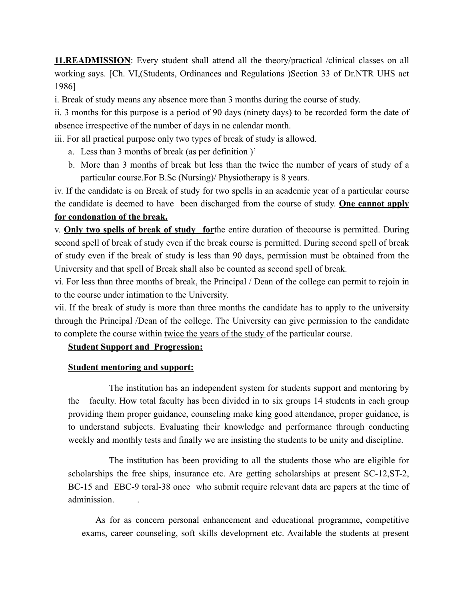**11.READMISSION**: Every student shall attend all the theory/practical /clinical classes on all working says. [Ch. VI,(Students, Ordinances and Regulations )Section 33 of Dr.NTR UHS act 1986]

i. Break of study means any absence more than 3 months during the course of study.

ii. 3 months for this purpose is a period of 90 days (ninety days) to be recorded form the date of absence irrespective of the number of days in ne calendar month.

iii. For all practical purpose only two types of break of study is allowed.

- a. Less than 3 months of break (as per definition )'
- b. More than 3 months of break but less than the twice the number of years of study of a particular course.For B.Sc (Nursing)/ Physiotherapy is 8 years.

iv. If the candidate is on Break of study for two spells in an academic year of a particular course the candidate is deemed to have been discharged from the course of study. **One cannot apply for condonation of the break.**

v. **Only two spells of break of study for**the entire duration of thecourse is permitted. During second spell of break of study even if the break course is permitted. During second spell of break of study even if the break of study is less than 90 days, permission must be obtained from the University and that spell of Break shall also be counted as second spell of break.

vi. For less than three months of break, the Principal / Dean of the college can permit to rejoin in to the course under intimation to the University.

vii. If the break of study is more than three months the candidate has to apply to the university through the Principal /Dean of the college. The University can give permission to the candidate to complete the course within twice the years of the study of the particular course.

### **Student Support and Progression:**

#### **Student mentoring and support:**

 The institution has an independent system for students support and mentoring by the faculty. How total faculty has been divided in to six groups 14 students in each group providing them proper guidance, counseling make king good attendance, proper guidance, is to understand subjects. Evaluating their knowledge and performance through conducting weekly and monthly tests and finally we are insisting the students to be unity and discipline.

 The institution has been providing to all the students those who are eligible for scholarships the free ships, insurance etc. Are getting scholarships at present SC-12,ST-2, BC-15 and EBC-9 toral-38 once who submit require relevant data are papers at the time of adminission. .

As for as concern personal enhancement and educational programme, competitive exams, career counseling, soft skills development etc. Available the students at present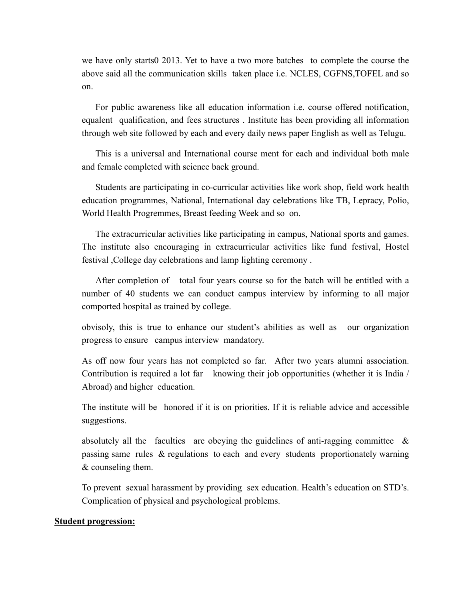we have only starts0 2013. Yet to have a two more batches to complete the course the above said all the communication skills taken place i.e. NCLES, CGFNS,TOFEL and so on.

For public awareness like all education information i.e. course offered notification, equalent qualification, and fees structures . Institute has been providing all information through web site followed by each and every daily news paper English as well as Telugu.

This is a universal and International course ment for each and individual both male and female completed with science back ground.

Students are participating in co-curricular activities like work shop, field work health education programmes, National, International day celebrations like TB, Lepracy, Polio, World Health Progremmes, Breast feeding Week and so on.

The extracurricular activities like participating in campus, National sports and games. The institute also encouraging in extracurricular activities like fund festival, Hostel festival ,College day celebrations and lamp lighting ceremony .

After completion of total four years course so for the batch will be entitled with a number of 40 students we can conduct campus interview by informing to all major comported hospital as trained by college.

 obvisoly, this is true to enhance our student's abilities as well as our organization progress to ensure campus interview mandatory.

 As off now four years has not completed so far. After two years alumni association. Contribution is required a lot far knowing their job opportunities (whether it is India / Abroad) and higher education.

 The institute will be honored if it is on priorities. If it is reliable advice and accessible suggestions.

absolutely all the faculties are obeying the guidelines of anti-ragging committee  $\&$ passing same rules & regulations to each and every students proportionately warning & counseling them.

 To prevent sexual harassment by providing sex education. Health's education on STD's. Complication of physical and psychological problems.

#### **Student progression:**